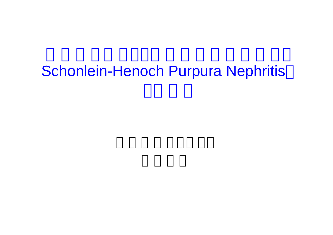# Schonlein-Henoch Purpura Nephritis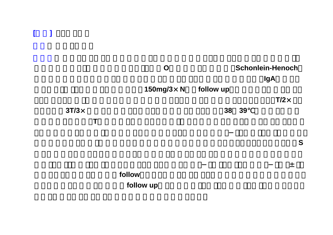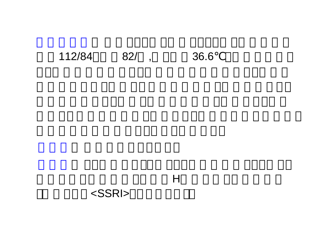#### 112/84 82/, 36.6

#### $H$

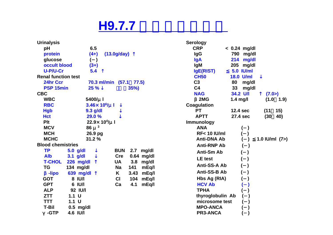#### **H9.7.7**

| <b>Urinalysis</b>          |                          |                           | <b>Serology</b>       |                  |                 |
|----------------------------|--------------------------|---------------------------|-----------------------|------------------|-----------------|
| pH                         | 6.5                      |                           | <b>CRP</b>            | $< 0.24$ mg/dl   |                 |
| protein                    | $(4+)$                   | (13.0g/day)               | <b>IgG</b>            | 790 mg/dl        |                 |
| glucose                    | $\mathcal{L}$<br>U       |                           | <b>IgA</b>            | 214<br>mg/dl     |                 |
| occult blood               | $(3+)$                   |                           | <b>IgM</b>            | 205<br>mg/dl     |                 |
| U-P/U-Cr                   | 5.4                      |                           | lgE(RIST)             | 5.0 IU/ml        |                 |
| <b>Renal function test</b> |                          |                           | <b>CH50</b>           | <b>18.0 U/ml</b> |                 |
| 24hr Ccr                   |                          | 70.3 ml/min (57.1 77.5)   | C <sub>3</sub>        | 80<br>mg/dl      |                 |
| <b>PSP 15min</b>           | 25%                      | 35%                       | C <sub>4</sub>        | 33<br>mg/dl      |                 |
| <b>CBC</b>                 |                          |                           | <b>NAG</b>            | 34.2 U/I         | (7.0)           |
| <b>WBC</b>                 | 5400/µ l                 |                           | 2MG                   | $1.4$ mg/l       | (1.0 1.9)       |
| <b>RBC</b>                 | $3.46 \times 10^6$ /µ l  |                           | <b>Coagulation</b>    |                  |                 |
| <b>Hgb</b>                 | $9.3$ g/dl               |                           | <b>PT</b>             | 12.4 sec         | (11)<br>15)     |
| <b>Hct</b>                 | 29.0 %                   |                           | <b>APTT</b>           | 27.4 sec         | (30)<br>40)     |
| <b>Plt</b>                 | $22.9\times 10^{4}$ /µ l |                           | <b>Immunology</b>     |                  |                 |
| <b>MCV</b>                 | $86 \mu$ <sup>3</sup>    |                           | <b>ANA</b>            |                  |                 |
| <b>MCH</b>                 | 26.9 pg                  |                           | <b>RF&lt;10 IU/ml</b> |                  |                 |
| <b>MCHC</b>                | 31.2 %                   |                           | <b>Anti-DNA Ab</b>    |                  | 1.0 IU/ml $(7)$ |
| <b>Blood chemistries</b>   |                          |                           | <b>Anti-RNP Ab</b>    |                  |                 |
| <b>TP</b>                  | 5.0 g/dl                 | <b>BUN</b><br>2.7 mg/dl   | <b>Anti-Sm Ab</b>     |                  |                 |
| <b>Alb</b>                 | $3.1$ g/dl               | <b>Cre</b><br>0.64 mg/dl  | <b>LE</b> test        |                  |                 |
| <b>T-CHOL</b>              | 226 mg/dl                | <b>UA</b><br>3.8 mg/dl    |                       |                  |                 |
| TG                         | 134 mg/dl                | 141<br><b>Na</b><br>mEq/l | Anti-SS-A Ab          |                  |                 |
| -lipo                      | 639 mg/dl                | K<br>3.43<br>mEq/l        | Anti-SS-B Ab          |                  |                 |
| <b>GOT</b>                 | 8 IU/I                   | CI<br>104<br>mEq/l        | Hbs Ag (RIA)          |                  |                 |
| <b>GPT</b>                 | 6 IU/I                   | 4.1<br>mEq/l<br>Ca        | <b>HCV Ab</b>         |                  |                 |
| <b>ALP</b>                 | 92 IU/I                  |                           | <b>TPHA</b>           |                  |                 |
| <b>ZTT</b>                 | $1.1$ U                  |                           | thyroglobulin Ab      |                  |                 |
| <b>TTT</b>                 | $1.1$ U                  |                           | microsome test        |                  |                 |
| <b>T-Bil</b>               | $0.5$ mg/dl              |                           | <b>MPO-ANCA</b>       |                  |                 |
| -GTP                       | 4.6 IU/I                 |                           | PR3-ANCA              |                  |                 |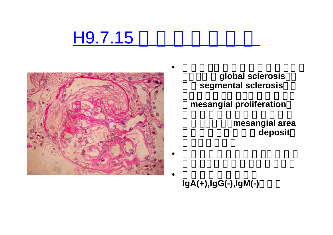# H9.7.15



global sclerosis segmental sclerosis

**mesangial proliferation** 

mesangial area deposit

**IgA(+),IgG(-),IgM(-)**です。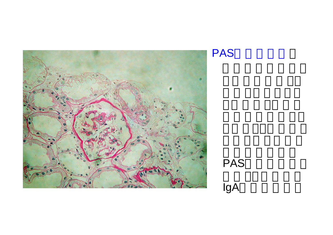



# PAS

## IgA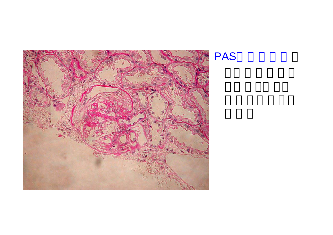

PAS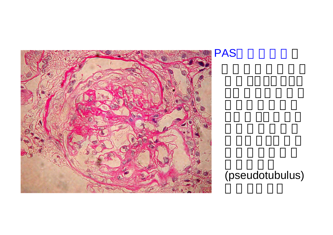



#### (pseudotubulus)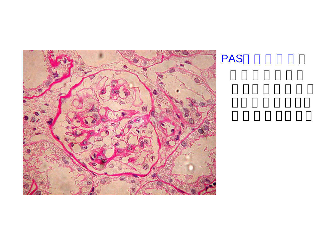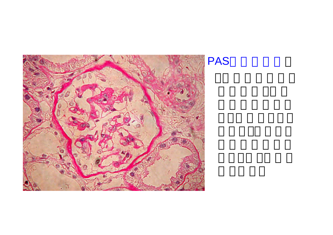

PAS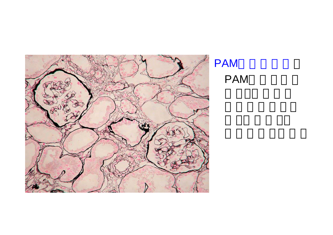

PAM PAM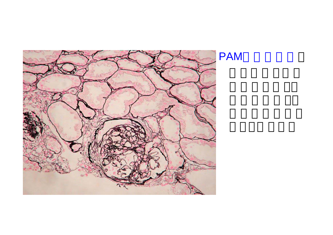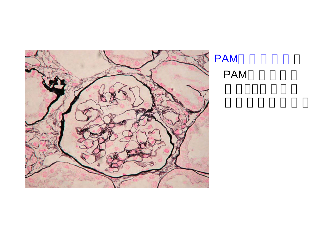

#### PAM PAM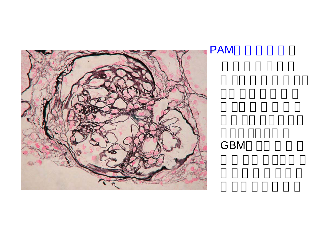

GBM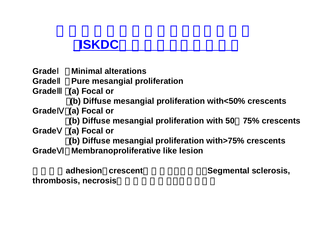#### (**ISKDC**組織分類を一部改変)

- **Grade**Ⅰ:**Minimal alterations**
- **Grade Pure mesangial proliferation**
- **Grade**Ⅲ:**(a) Focal or** :**(b) Diffuse mesangial proliferation with<50% crescents**
- **Grade**Ⅳ:**(a) Focal or**
	- :**(b) Diffuse mesangial proliferation with 50**~**75% crescents**
- **Grade**Ⅴ:**(a) Focal or**
	- :**(b) Diffuse mesangial proliferation with>75% crescents**
- Grade **Membranoproliferative like lesion**

thrombosis, necrosis

adhesion crescent **and Segmental sclerosis,**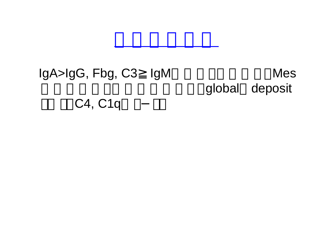#### IgA>IgG, Fbg, C3 IgM **Mes** global deposit C4, C1q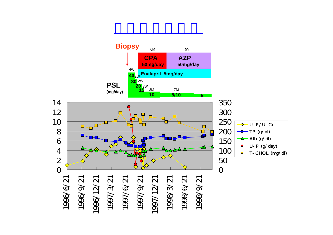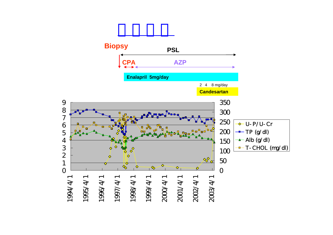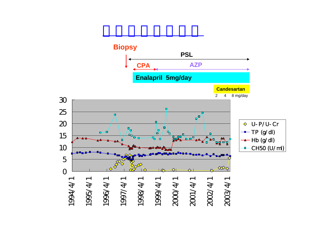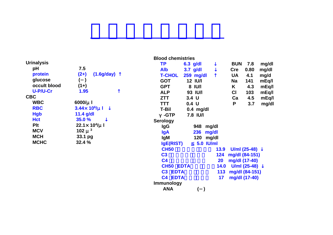| 7.5                    |
|------------------------|
| $(2+)$<br>C            |
| $($ )                  |
| $(1+)$                 |
| 1.95                   |
|                        |
| $6000/\mu$ I           |
| $3.44 \times 10^{6}$   |
| $11.4$ g/dl            |
| 35.0 %                 |
| $22.1 \times 10$       |
| 102 $\mu$ <sup>3</sup> |
| 33.1 pg                |
| 32.4 %                 |
|                        |

| рH              | 7.5                          |
|-----------------|------------------------------|
| protein         | $(2+)$ $(1.6g/day)$          |
| glucose         |                              |
| occult blood    | $(1+)$                       |
| <b>U-P/U-Cr</b> | 1.95                         |
| C               |                              |
| WBC             | $6000/\mu$ I                 |
| <b>RBC</b>      | $3.44 \times 10^{6} / \mu$ I |
| Hgb             | $11.4$ g/dl                  |
| Hct             | 35.0 %                       |
| Plt             | $22.1 \times 10^{4}/\mu$ I   |
| MCV             | 102 $\mu$ <sup>3</sup>       |
| MCH             | 33.1 pg                      |
| <b>MCHC</b>     | 32.4 %                       |

|    | <b>Blood chemistries</b> |
|----|--------------------------|
| тп | <u>ה כים</u>             |

| ΤP                            | 6.3 g/dl         |              |      | <b>BUN</b> | 7.8            | mg/dl |
|-------------------------------|------------------|--------------|------|------------|----------------|-------|
| <b>Alb</b>                    | $3.7$ g/dl       |              |      | <b>Cre</b> | 0.80           | mg/dl |
| <b>T-CHOL</b>                 | 259<br>mg/dl     |              |      | <b>UA</b>  | 4.1            | mg/d  |
| <b>GOT</b>                    | <b>12 IU/I</b>   |              |      | Na         | 141            | mEq/l |
| <b>GPT</b>                    | 8 IU/I           |              |      | K          | 4.3            | mEq/l |
| ALP                           | 93 IU/I          |              |      | <b>CI</b>  | 103            | mEq/l |
| ZTT                           | 3.4 <sub>U</sub> |              |      | Ca         | 4.5            | mEq/l |
| <b>TTT</b>                    | 0.4 <sub>U</sub> |              |      | P          | 3.7            | mg/dl |
| T-Bil                         | $0.4$ mg/dl      |              |      |            |                |       |
| -GTP                          | 7.8 IU/I         |              |      |            |                |       |
| <b>Serology</b>               |                  |              |      |            |                |       |
| lgG                           | 948              | mg/dl        |      |            |                |       |
| lgA                           | 236              | mg/dl        |      |            |                |       |
| <b>IgM</b>                    | 120              | mg/dl        |      |            |                |       |
| <b>IgE(RIST)</b>              | 5.0              | <b>IU/ml</b> |      |            |                |       |
| <b>CH50</b>                   |                  |              | 13.9 |            | U/ml $(25-48)$ |       |
| C <sub>3</sub>                |                  |              | 124  |            | mg/dl (84-151) |       |
| C <sub>4</sub>                |                  |              | 20   |            | mg/dl (17-40)  |       |
| <b>CH50</b>                   | <b>EDTA</b>      |              | 14.0 |            | U/ml (25-48)   |       |
| C <sub>3</sub><br><b>EDTA</b> |                  |              | 113  |            | mg/dl (84-151) |       |
| C <sub>4</sub><br><b>EDTA</b> |                  |              | 17   |            | mg/dl (17-40)  |       |
| <b>Immunology</b>             |                  |              |      |            |                |       |
| ANA                           |                  | $\mathcal Y$ |      |            |                |       |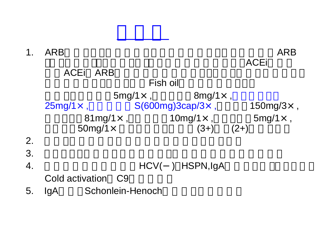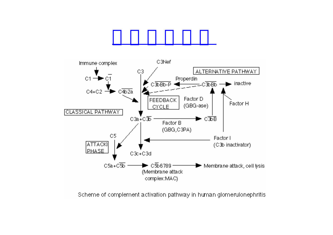

Scheme of complement activation pathway in human glomerulonephritis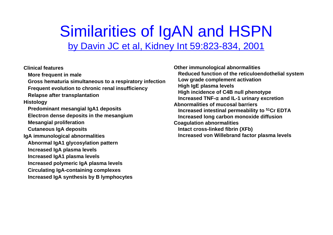### Similarities of IgAN and HSPN by Davin JC et al, Kidney Int 59:823-834, 2001

**Clinical featuresMore frequent in male Gross** hematuria simultaneous to a respiratory infection **Frequent evolution to chronic renal insufficiency Relapse after transplantation Histology Predominant mesangial IgA1 deposits Electron dense deposits in the mesangium Mesangial proliferation Cutaneous IgA deposits IgA im munological abnormalities Abn ormal IgA1 glycosylation pattern Increased IgA plasma levels Increased IgA1 plasma levels**

**Increased polymeric IgA plasma levels Circulati ng I g A-cont aining c o m ple x e s**

**Increased IgA synthesis b y B lymphocytes**

**Reduced function of the reticuloendothelial s y stem**Low grade complement activation **Hig h Ig Eplasma levels High incidence of C4B null phenoty p eIncreased TNF-**α**and IL-1 urinary excretion Abnormalities of mucosal barriersIncreased intestinal permeability to 51Cr EDTA Increased long carbon monoxide diffusion Coagulation abnormalities Intact cross-linked fibrin (XFb) Increased von Willebrand factor pla sma levels**

**Other immunological abnormalities**